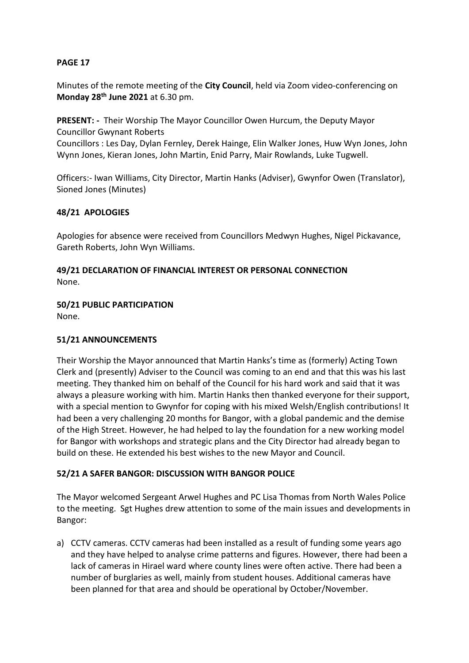Minutes of the remote meeting of the **City Council**, held via Zoom video-conferencing on **Monday 28th June 2021** at 6.30 pm.

**PRESENT: -** Their Worship The Mayor Councillor Owen Hurcum, the Deputy Mayor Councillor Gwynant Roberts

Councillors : Les Day, Dylan Fernley, Derek Hainge, Elin Walker Jones, Huw Wyn Jones, John Wynn Jones, Kieran Jones, John Martin, Enid Parry, Mair Rowlands, Luke Tugwell.

Officers:- Iwan Williams, City Director, Martin Hanks (Adviser), Gwynfor Owen (Translator), Sioned Jones (Minutes)

### **48/21 APOLOGIES**

Apologies for absence were received from Councillors Medwyn Hughes, Nigel Pickavance, Gareth Roberts, John Wyn Williams.

#### **49/21 DECLARATION OF FINANCIAL INTEREST OR PERSONAL CONNECTION** None.

# **50/21 PUBLIC PARTICIPATION**

None.

# **51/21 ANNOUNCEMENTS**

Their Worship the Mayor announced that Martin Hanks's time as (formerly) Acting Town Clerk and (presently) Adviser to the Council was coming to an end and that this was his last meeting. They thanked him on behalf of the Council for his hard work and said that it was always a pleasure working with him. Martin Hanks then thanked everyone for their support, with a special mention to Gwynfor for coping with his mixed Welsh/English contributions! It had been a very challenging 20 months for Bangor, with a global pandemic and the demise of the High Street. However, he had helped to lay the foundation for a new working model for Bangor with workshops and strategic plans and the City Director had already began to build on these. He extended his best wishes to the new Mayor and Council.

#### **52/21 A SAFER BANGOR: DISCUSSION WITH BANGOR POLICE**

The Mayor welcomed Sergeant Arwel Hughes and PC Lisa Thomas from North Wales Police to the meeting. Sgt Hughes drew attention to some of the main issues and developments in Bangor:

a) CCTV cameras. CCTV cameras had been installed as a result of funding some years ago and they have helped to analyse crime patterns and figures. However, there had been a lack of cameras in Hirael ward where county lines were often active. There had been a number of burglaries as well, mainly from student houses. Additional cameras have been planned for that area and should be operational by October/November.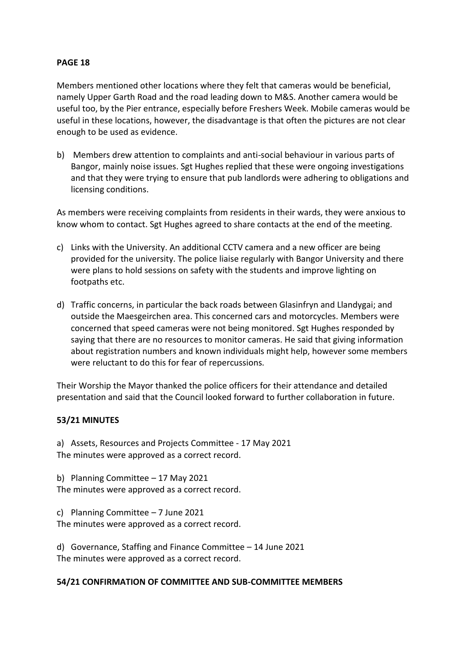Members mentioned other locations where they felt that cameras would be beneficial, namely Upper Garth Road and the road leading down to M&S. Another camera would be useful too, by the Pier entrance, especially before Freshers Week. Mobile cameras would be useful in these locations, however, the disadvantage is that often the pictures are not clear enough to be used as evidence.

b) Members drew attention to complaints and anti-social behaviour in various parts of Bangor, mainly noise issues. Sgt Hughes replied that these were ongoing investigations and that they were trying to ensure that pub landlords were adhering to obligations and licensing conditions.

As members were receiving complaints from residents in their wards, they were anxious to know whom to contact. Sgt Hughes agreed to share contacts at the end of the meeting.

- c) Links with the University. An additional CCTV camera and a new officer are being provided for the university. The police liaise regularly with Bangor University and there were plans to hold sessions on safety with the students and improve lighting on footpaths etc.
- d) Traffic concerns, in particular the back roads between Glasinfryn and Llandygai; and outside the Maesgeirchen area. This concerned cars and motorcycles. Members were concerned that speed cameras were not being monitored. Sgt Hughes responded by saying that there are no resources to monitor cameras. He said that giving information about registration numbers and known individuals might help, however some members were reluctant to do this for fear of repercussions.

Their Worship the Mayor thanked the police officers for their attendance and detailed presentation and said that the Council looked forward to further collaboration in future.

# **53/21 MINUTES**

a) Assets, Resources and Projects Committee - 17 May 2021 The minutes were approved as a correct record.

b) Planning Committee – 17 May 2021 The minutes were approved as a correct record.

c) Planning Committee – 7 June 2021 The minutes were approved as a correct record.

d) Governance, Staffing and Finance Committee – 14 June 2021 The minutes were approved as a correct record.

#### **54/21 CONFIRMATION OF COMMITTEE AND SUB-COMMITTEE MEMBERS**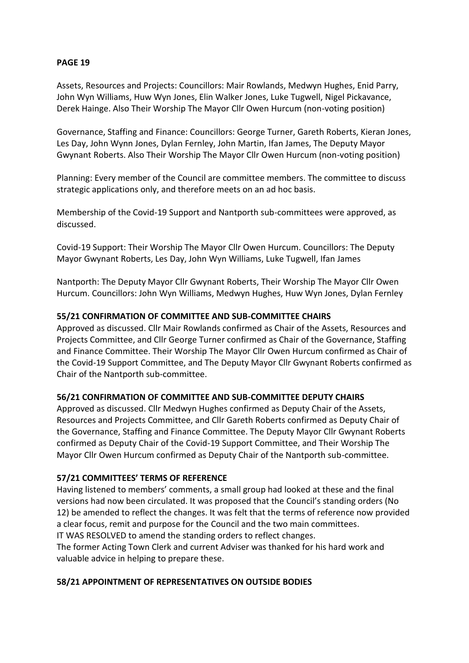Assets, Resources and Projects: Councillors: Mair Rowlands, Medwyn Hughes, Enid Parry, John Wyn Williams, Huw Wyn Jones, Elin Walker Jones, Luke Tugwell, Nigel Pickavance, Derek Hainge. Also Their Worship The Mayor Cllr Owen Hurcum (non-voting position)

Governance, Staffing and Finance: Councillors: George Turner, Gareth Roberts, Kieran Jones, Les Day, John Wynn Jones, Dylan Fernley, John Martin, Ifan James, The Deputy Mayor Gwynant Roberts. Also Their Worship The Mayor Cllr Owen Hurcum (non-voting position)

Planning: Every member of the Council are committee members. The committee to discuss strategic applications only, and therefore meets on an ad hoc basis.

Membership of the Covid-19 Support and Nantporth sub-committees were approved, as discussed.

Covid-19 Support: Their Worship The Mayor Cllr Owen Hurcum. Councillors: The Deputy Mayor Gwynant Roberts, Les Day, John Wyn Williams, Luke Tugwell, Ifan James

Nantporth: The Deputy Mayor Cllr Gwynant Roberts, Their Worship The Mayor Cllr Owen Hurcum. Councillors: John Wyn Williams, Medwyn Hughes, Huw Wyn Jones, Dylan Fernley

### **55/21 CONFIRMATION OF COMMITTEE AND SUB-COMMITTEE CHAIRS**

Approved as discussed. Cllr Mair Rowlands confirmed as Chair of the Assets, Resources and Projects Committee, and Cllr George Turner confirmed as Chair of the Governance, Staffing and Finance Committee. Their Worship The Mayor Cllr Owen Hurcum confirmed as Chair of the Covid-19 Support Committee, and The Deputy Mayor Cllr Gwynant Roberts confirmed as Chair of the Nantporth sub-committee.

#### **56/21 CONFIRMATION OF COMMITTEE AND SUB-COMMITTEE DEPUTY CHAIRS**

Approved as discussed. Cllr Medwyn Hughes confirmed as Deputy Chair of the Assets, Resources and Projects Committee, and Cllr Gareth Roberts confirmed as Deputy Chair of the Governance, Staffing and Finance Committee. The Deputy Mayor Cllr Gwynant Roberts confirmed as Deputy Chair of the Covid-19 Support Committee, and Their Worship The Mayor Cllr Owen Hurcum confirmed as Deputy Chair of the Nantporth sub-committee.

#### **57/21 COMMITTEES' TERMS OF REFERENCE**

Having listened to members' comments, a small group had looked at these and the final versions had now been circulated. It was proposed that the Council's standing orders (No 12) be amended to reflect the changes. It was felt that the terms of reference now provided a clear focus, remit and purpose for the Council and the two main committees. IT WAS RESOLVED to amend the standing orders to reflect changes.

The former Acting Town Clerk and current Adviser was thanked for his hard work and valuable advice in helping to prepare these.

#### **58/21 APPOINTMENT OF REPRESENTATIVES ON OUTSIDE BODIES**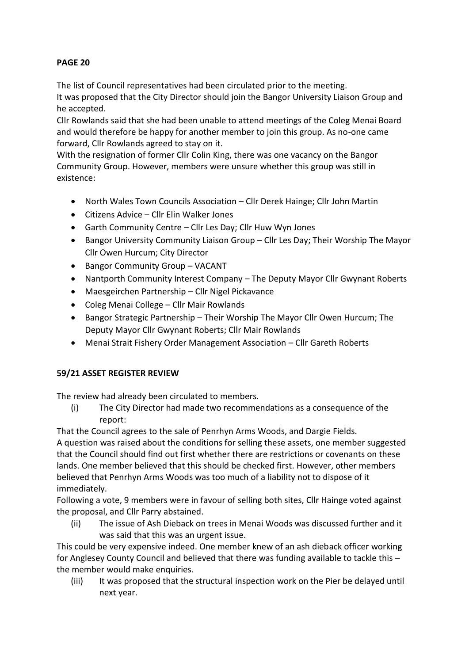The list of Council representatives had been circulated prior to the meeting.

It was proposed that the City Director should join the Bangor University Liaison Group and he accepted.

Cllr Rowlands said that she had been unable to attend meetings of the Coleg Menai Board and would therefore be happy for another member to join this group. As no-one came forward, Cllr Rowlands agreed to stay on it.

With the resignation of former Cllr Colin King, there was one vacancy on the Bangor Community Group. However, members were unsure whether this group was still in existence:

- North Wales Town Councils Association Cllr Derek Hainge; Cllr John Martin
- Citizens Advice Cllr Elin Walker Jones
- Garth Community Centre Cllr Les Day; Cllr Huw Wyn Jones
- Bangor University Community Liaison Group Cllr Les Day; Their Worship The Mayor Cllr Owen Hurcum; City Director
- Bangor Community Group VACANT
- Nantporth Community Interest Company The Deputy Mayor Cllr Gwynant Roberts
- Maesgeirchen Partnership Cllr Nigel Pickavance
- Coleg Menai College Cllr Mair Rowlands
- Bangor Strategic Partnership Their Worship The Mayor Cllr Owen Hurcum; The Deputy Mayor Cllr Gwynant Roberts; Cllr Mair Rowlands
- Menai Strait Fishery Order Management Association Cllr Gareth Roberts

# **59/21 ASSET REGISTER REVIEW**

The review had already been circulated to members.

(i) The City Director had made two recommendations as a consequence of the report:

That the Council agrees to the sale of Penrhyn Arms Woods, and Dargie Fields.

A question was raised about the conditions for selling these assets, one member suggested that the Council should find out first whether there are restrictions or covenants on these lands. One member believed that this should be checked first. However, other members believed that Penrhyn Arms Woods was too much of a liability not to dispose of it immediately.

Following a vote, 9 members were in favour of selling both sites, Cllr Hainge voted against the proposal, and Cllr Parry abstained.

(ii) The issue of Ash Dieback on trees in Menai Woods was discussed further and it was said that this was an urgent issue.

This could be very expensive indeed. One member knew of an ash dieback officer working for Anglesey County Council and believed that there was funding available to tackle this – the member would make enquiries.

(iii) It was proposed that the structural inspection work on the Pier be delayed until next year.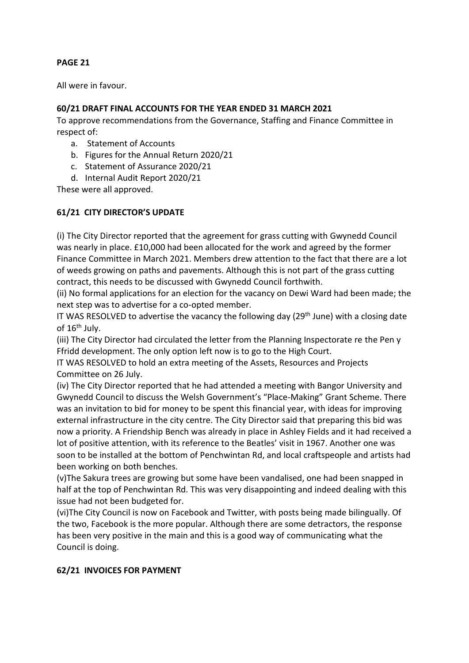All were in favour.

# **60/21 DRAFT FINAL ACCOUNTS FOR THE YEAR ENDED 31 MARCH 2021**

To approve recommendations from the Governance, Staffing and Finance Committee in respect of:

- a. Statement of Accounts
- b. Figures for the Annual Return 2020/21
- c. Statement of Assurance 2020/21
- d. Internal Audit Report 2020/21

These were all approved.

# **61/21 CITY DIRECTOR'S UPDATE**

(i) The City Director reported that the agreement for grass cutting with Gwynedd Council was nearly in place. £10,000 had been allocated for the work and agreed by the former Finance Committee in March 2021. Members drew attention to the fact that there are a lot of weeds growing on paths and pavements. Although this is not part of the grass cutting contract, this needs to be discussed with Gwynedd Council forthwith.

(ii) No formal applications for an election for the vacancy on Dewi Ward had been made; the next step was to advertise for a co-opted member.

IT WAS RESOLVED to advertise the vacancy the following day ( $29<sup>th</sup>$  June) with a closing date of  $16<sup>th</sup>$  July.

(iii) The City Director had circulated the letter from the Planning Inspectorate re the Pen y Ffridd development. The only option left now is to go to the High Court.

IT WAS RESOLVED to hold an extra meeting of the Assets, Resources and Projects Committee on 26 July.

(iv) The City Director reported that he had attended a meeting with Bangor University and Gwynedd Council to discuss the Welsh Government's "Place-Making" Grant Scheme. There was an invitation to bid for money to be spent this financial year, with ideas for improving external infrastructure in the city centre. The City Director said that preparing this bid was now a priority. A Friendship Bench was already in place in Ashley Fields and it had received a lot of positive attention, with its reference to the Beatles' visit in 1967. Another one was soon to be installed at the bottom of Penchwintan Rd, and local craftspeople and artists had been working on both benches.

(v)The Sakura trees are growing but some have been vandalised, one had been snapped in half at the top of Penchwintan Rd. This was very disappointing and indeed dealing with this issue had not been budgeted for.

(vi)The City Council is now on Facebook and Twitter, with posts being made bilingually. Of the two, Facebook is the more popular. Although there are some detractors, the response has been very positive in the main and this is a good way of communicating what the Council is doing.

# **62/21 INVOICES FOR PAYMENT**